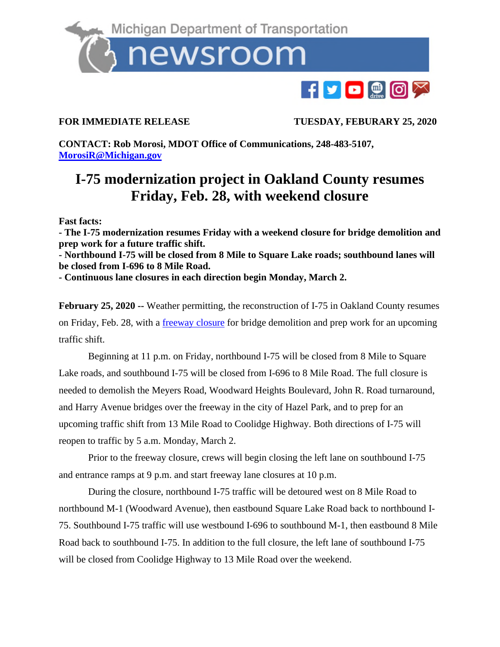

FOR IMMEDIATE RELEASE TUESDAY, FEBURARY 25, 2020

**CONTACT: Rob Morosi, MDOT Office of Communications, 248-483-5107, MorosiR@Michigan.gov**

## **I-75 modernization project in Oakland County resumes Friday, Feb. 28, with weekend closure**

**Fast facts:** 

**- The I-75 modernization resumes Friday with a weekend closure for bridge demolition and prep work for a future traffic shift.** 

**- Northbound I-75 will be closed from 8 Mile to Square Lake roads; southbound lanes will be closed from I-696 to 8 Mile Road.** 

**- Continuous lane closures in each direction begin Monday, March 2.** 

**February 25, 2020 --** Weather permitting, the reconstruction of I-75 in Oakland County resumes on Friday, Feb. 28, with a freeway closure for bridge demolition and prep work for an upcoming traffic shift.

Beginning at 11 p.m. on Friday, northbound I-75 will be closed from 8 Mile to Square Lake roads, and southbound I-75 will be closed from I-696 to 8 Mile Road. The full closure is needed to demolish the Meyers Road, Woodward Heights Boulevard, John R. Road turnaround, and Harry Avenue bridges over the freeway in the city of Hazel Park, and to prep for an upcoming traffic shift from 13 Mile Road to Coolidge Highway. Both directions of I-75 will reopen to traffic by 5 a.m. Monday, March 2.

Prior to the freeway closure, crews will begin closing the left lane on southbound I-75 and entrance ramps at 9 p.m. and start freeway lane closures at 10 p.m.

During the closure, northbound I-75 traffic will be detoured west on 8 Mile Road to northbound M-1 (Woodward Avenue), then eastbound Square Lake Road back to northbound I-75. Southbound I-75 traffic will use westbound I-696 to southbound M-1, then eastbound 8 Mile Road back to southbound I-75. In addition to the full closure, the left lane of southbound I-75 will be closed from Coolidge Highway to 13 Mile Road over the weekend.